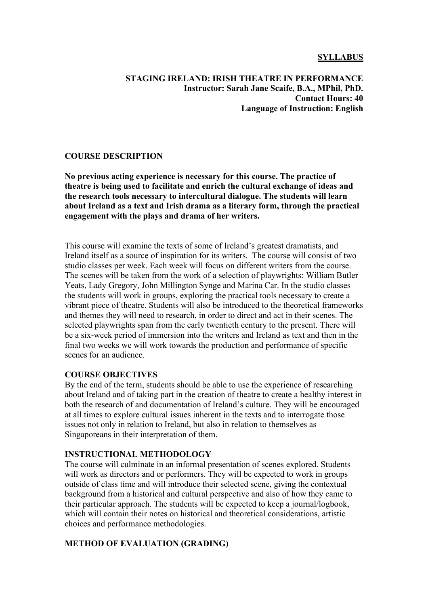### **SYLLABUS**

### **STAGING IRELAND: IRISH THEATRE IN PERFORMANCE Instructor: Sarah Jane Scaife, B.A., MPhil, PhD. Contact Hours: 40 Language of Instruction: English**

### **COURSE DESCRIPTION**

**No previous acting experience is necessary for this course. The practice of theatre is being used to facilitate and enrich the cultural exchange of ideas and the research tools necessary to intercultural dialogue. The students will learn about Ireland as a text and Irish drama as a literary form, through the practical engagement with the plays and drama of her writers.**

This course will examine the texts of some of Ireland's greatest dramatists, and Ireland itself as a source of inspiration for its writers. The course will consist of two studio classes per week. Each week will focus on different writers from the course. The scenes will be taken from the work of a selection of playwrights: William Butler Yeats, Lady Gregory, John Millington Synge and Marina Car. In the studio classes the students will work in groups, exploring the practical tools necessary to create a vibrant piece of theatre. Students will also be introduced to the theoretical frameworks and themes they will need to research, in order to direct and act in their scenes. The selected playwrights span from the early twentieth century to the present. There will be a six-week period of immersion into the writers and Ireland as text and then in the final two weeks we will work towards the production and performance of specific scenes for an audience.

### **COURSE OBJECTIVES**

By the end of the term, students should be able to use the experience of researching about Ireland and of taking part in the creation of theatre to create a healthy interest in both the research of and documentation of Ireland's culture. They will be encouraged at all times to explore cultural issues inherent in the texts and to interrogate those issues not only in relation to Ireland, but also in relation to themselves as Singaporeans in their interpretation of them.

### **INSTRUCTIONAL METHODOLOGY**

The course will culminate in an informal presentation of scenes explored. Students will work as directors and or performers. They will be expected to work in groups outside of class time and will introduce their selected scene, giving the contextual background from a historical and cultural perspective and also of how they came to their particular approach. The students will be expected to keep a journal/logbook, which will contain their notes on historical and theoretical considerations, artistic choices and performance methodologies.

### **METHOD OF EVALUATION (GRADING)**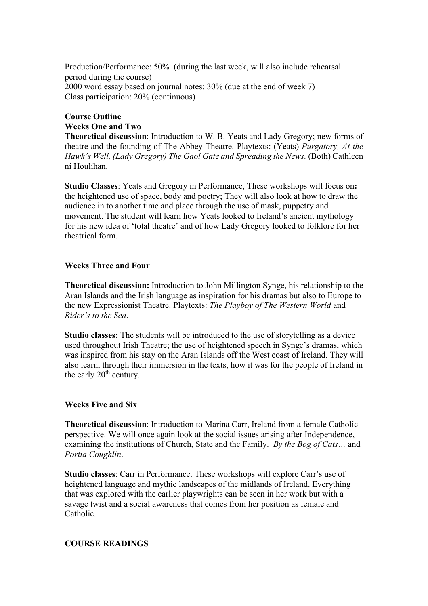Production/Performance: 50% (during the last week, will also include rehearsal period during the course) 2000 word essay based on journal notes: 30% (due at the end of week 7) Class participation: 20% (continuous)

# **Course Outline Weeks One and Two**

**Theoretical discussion**: Introduction to W. B. Yeats and Lady Gregory; new forms of theatre and the founding of The Abbey Theatre. Playtexts: (Yeats) *Purgatory, At the Hawk's Well, (Lady Gregory) The Gaol Gate and Spreading the News.* (Both) Cathleen ní Houlihan.

**Studio Classes**: Yeats and Gregory in Performance, These workshops will focus on**:** the heightened use of space, body and poetry; They will also look at how to draw the audience in to another time and place through the use of mask, puppetry and movement. The student will learn how Yeats looked to Ireland's ancient mythology for his new idea of 'total theatre' and of how Lady Gregory looked to folklore for her theatrical form.

## **Weeks Three and Four**

**Theoretical discussion:** Introduction to John Millington Synge, his relationship to the Aran Islands and the Irish language as inspiration for his dramas but also to Europe to the new Expressionist Theatre. Playtexts: *The Playboy of The Western World* and *Rider's to the Sea*.

**Studio classes:** The students will be introduced to the use of storytelling as a device used throughout Irish Theatre; the use of heightened speech in Synge's dramas, which was inspired from his stay on the Aran Islands off the West coast of Ireland. They will also learn, through their immersion in the texts, how it was for the people of Ireland in the early  $20<sup>th</sup>$  century.

### **Weeks Five and Six**

**Theoretical discussion**: Introduction to Marina Carr, Ireland from a female Catholic perspective. We will once again look at the social issues arising after Independence, examining the institutions of Church, State and the Family. *By the Bog of Cats…* and *Portia Coughlin*.

**Studio classes**: Carr in Performance. These workshops will explore Carr's use of heightened language and mythic landscapes of the midlands of Ireland. Everything that was explored with the earlier playwrights can be seen in her work but with a savage twist and a social awareness that comes from her position as female and Catholic.

## **COURSE READINGS**